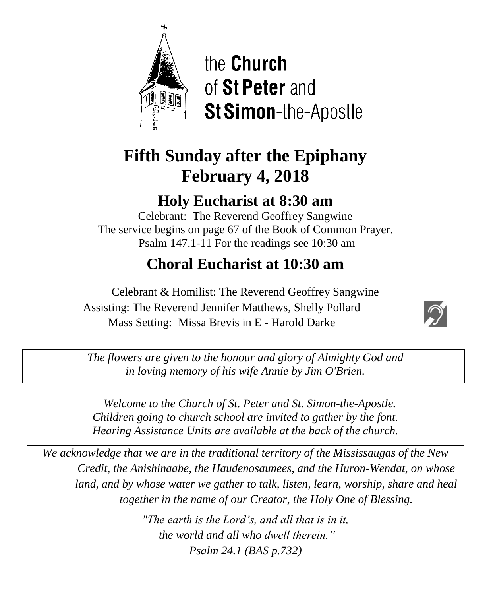

the **Church** of St Peter and **St Simon-the-Apostle** 

# **Fifth Sunday after the Epiphany February 4, 2018**

# **Holy Eucharist at 8:30 am**

Celebrant: The Reverend Geoffrey Sangwine The service begins on page 67 of the Book of Common Prayer. Psalm 147.1-11 For the readings see 10:30 am

# **Choral Eucharist at 10:30 am**

Celebrant & Homilist: The Reverend Geoffrey Sangwine Assisting: The Reverend Jennifer Matthews, Shelly Pollard Mass Setting: Missa Brevis in E - Harold Darke



*The flowers are given to the honour and glory of Almighty God and in loving memory of his wife Annie by Jim O'Brien.*

 *Welcome to the Church of St. Peter and St. Simon-the-Apostle. Children going to church school are invited to gather by the font. Hearing Assistance Units are available at the back of the church.*

*We acknowledge that we are in the traditional territory of the Mississaugas of the New Credit, the Anishinaabe, the Haudenosaunees, and the Huron-Wendat, on whose land, and by whose water we gather to talk, listen, learn, worship, share and heal together in the name of our Creator, the Holy One of Blessing.*

> *"The earth is the Lord's, and all that is in it, the world and all who dwell therein." Psalm 24.1 (BAS p.732)*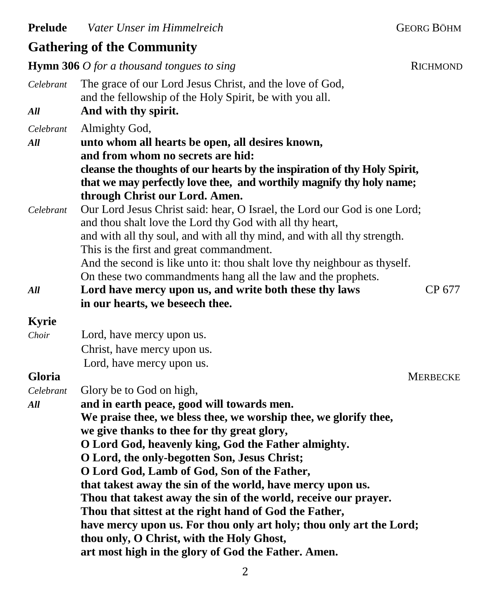## **Gathering of the Community**

**Hymn 306** *O for a thousand tongues to sing* **RICHMOND** *Celebrant* The grace of our Lord Jesus Christ, and the love of God, and the fellowship of the Holy Spirit, be with you all. *All* **And with thy spirit.** *Celebrant* Almighty God, *All* **unto whom all hearts be open, all desires known, and from whom no secrets are hid: cleanse the thoughts of our hearts by the inspiration of thy Holy Spirit, that we may perfectly love thee, and worthily magnify thy holy name; through Christ our Lord. Amen.** *Celebrant* Our Lord Jesus Christ said: hear, O Israel, the Lord our God is one Lord; and thou shalt love the Lord thy God with all thy heart, and with all thy soul, and with all thy mind, and with all thy strength. This is the first and great commandment. And the second is like unto it: thou shalt love thy neighbour as thyself. On these two commandments hang all the law and the prophets. *All* **Lord have mercy upon us, and write both these thy laws** CP 677 **in our hearts, we beseech thee. Kyrie** *Choir* Lord, have mercy upon us. Christ, have mercy upon us. Lord, have mercy upon us. **Gloria** MERBECKE *Celebrant* Glory be to God on high, *All* **and in earth peace, good will towards men. We praise thee, we bless thee, we worship thee, we glorify thee, we give thanks to thee for thy great glory, O Lord God, heavenly king, God the Father almighty. O Lord, the only-begotten Son, Jesus Christ; O Lord God, Lamb of God, Son of the Father, that takest away the sin of the world, have mercy upon us. Thou that takest away the sin of the world, receive our prayer. Thou that sittest at the right hand of God the Father, have mercy upon us. For thou only art holy; thou only art the Lord; thou only, O Christ, with the Holy Ghost, art most high in the glory of God the Father. Amen.**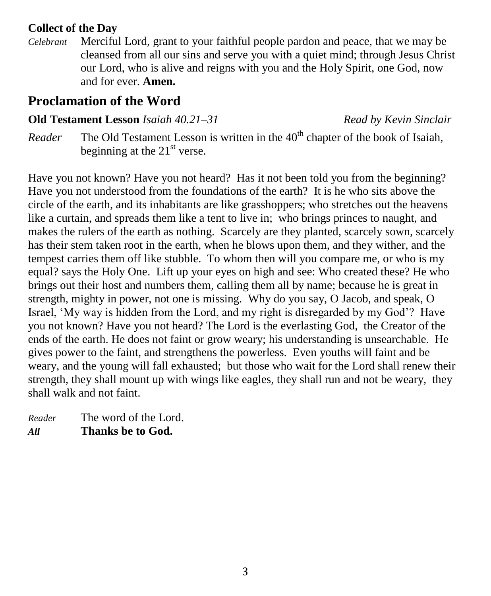### **Collect of the Day**

*Celebrant* Merciful Lord, grant to your faithful people pardon and peace, that we may be cleansed from all our sins and serve you with a quiet mind; through Jesus Christ our Lord, who is alive and reigns with you and the Holy Spirit, one God, now and for ever. **Amen.**

## **Proclamation of the Word**

### **Old Testament Lesson** *Isaiah 40.21–31 Read by Kevin Sinclair*

*Reader* The Old Testament Lesson is written in the 40<sup>th</sup> chapter of the book of Isaiah. beginning at the  $21<sup>st</sup>$  verse.

Have you not known? Have you not heard? Has it not been told you from the beginning? Have you not understood from the foundations of the earth? It is he who sits above the circle of the earth, and its inhabitants are like grasshoppers; who stretches out the heavens like a curtain, and spreads them like a tent to live in; who brings princes to naught, and makes the rulers of the earth as nothing. Scarcely are they planted, scarcely sown, scarcely has their stem taken root in the earth, when he blows upon them, and they wither, and the tempest carries them off like stubble. To whom then will you compare me, or who is my equal? says the Holy One. Lift up your eyes on high and see: Who created these? He who brings out their host and numbers them, calling them all by name; because he is great in strength, mighty in power, not one is missing. Why do you say, O Jacob, and speak, O Israel, 'My way is hidden from the Lord, and my right is disregarded by my God'? Have you not known? Have you not heard? The Lord is the everlasting God, the Creator of the ends of the earth. He does not faint or grow weary; his understanding is unsearchable. He gives power to the faint, and strengthens the powerless. Even youths will faint and be weary, and the young will fall exhausted; but those who wait for the Lord shall renew their strength, they shall mount up with wings like eagles, they shall run and not be weary, they shall walk and not faint.

*Reader* The word of the Lord. *All* **Thanks be to God.**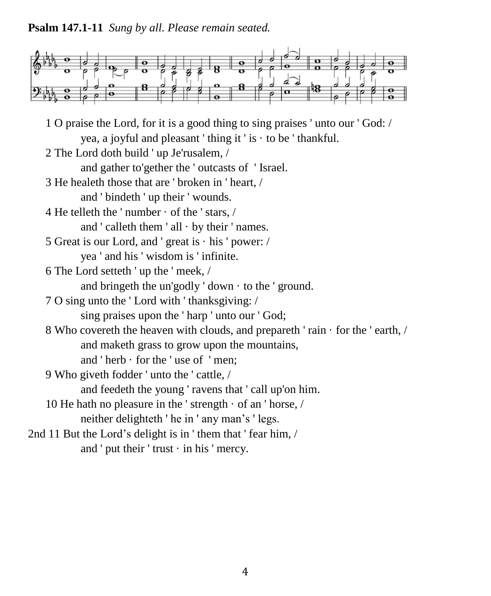**Psalm 147.1-11** *Sung by all. Please remain seated.*



1 O praise the Lord, for it is a good thing to sing praises ' unto our ' God: / yea, a joyful and pleasant 'thing it' is  $\cdot$  to be 'thankful. 2 The Lord doth build ' up Je'rusalem, / and gather to'gether the ' outcasts of ' Israel. 3 He healeth those that are ' broken in ' heart, / and ' bindeth ' up their ' wounds. 4 He telleth the ' number · of the ' stars, / and  $'$  calleth them  $'$  all  $\cdot$  by their  $'$  names. 5 Great is our Lord, and ' great is · his ' power: / yea ' and his ' wisdom is ' infinite. 6 The Lord setteth ' up the ' meek, / and bringeth the un'godly ' down  $\cdot$  to the ' ground. 7 O sing unto the ' Lord with ' thanksgiving: / sing praises upon the ' harp ' unto our ' God; 8 Who covereth the heaven with clouds, and prepareth ' rain · for the ' earth, / and maketh grass to grow upon the mountains, and ' herb · for the ' use of ' men; 9 Who giveth fodder ' unto the ' cattle, / and feedeth the young ' ravens that ' call up'on him. 10 He hath no pleasure in the 'strength  $\cdot$  of an 'horse, / neither delighteth ' he in ' any man's ' legs. 2nd 11 But the Lord's delight is in ' them that ' fear him, / and ' put their ' trust  $\cdot$  in his ' mercy.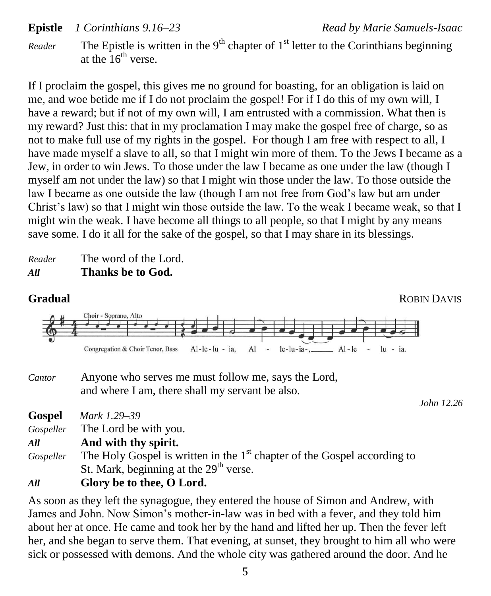**Epistle** *1 Corinthians 9.16–23 Read by Marie Samuels-Isaac*

*Reader* The Epistle is written in the 9<sup>th</sup> chapter of 1<sup>st</sup> letter to the Corinthians beginning at the  $16^{th}$  verse.

If I proclaim the gospel, this gives me no ground for boasting, for an obligation is laid on me, and woe betide me if I do not proclaim the gospel! For if I do this of my own will, I have a reward; but if not of my own will, I am entrusted with a commission. What then is my reward? Just this: that in my proclamation I may make the gospel free of charge, so as not to make full use of my rights in the gospel. For though I am free with respect to all, I have made myself a slave to all, so that I might win more of them. To the Jews I became as a Jew, in order to win Jews. To those under the law I became as one under the law (though I myself am not under the law) so that I might win those under the law. To those outside the law I became as one outside the law (though I am not free from God's law but am under Christ's law) so that I might win those outside the law. To the weak I became weak, so that I might win the weak. I have become all things to all people, so that I might by any means save some. I do it all for the sake of the gospel, so that I may share in its blessings.

*Reader* The word of the Lord. *All* **Thanks be to God.**



*Cantor* Anyone who serves me must follow me, says the Lord, and where I am, there shall my servant be also.

*John 12.26*

| <b>Gospel</b> | Mark 1.29–39                                                                         |
|---------------|--------------------------------------------------------------------------------------|
| Gospeller     | The Lord be with you.                                                                |
| All           | And with thy spirit.                                                                 |
| Gospeller     | The Holy Gospel is written in the 1 <sup>st</sup> chapter of the Gospel according to |
|               | St. Mark, beginning at the 29 <sup>th</sup> verse.                                   |
| All           | Glory be to thee, O Lord.                                                            |

As soon as they left the synagogue, they entered the house of Simon and Andrew, with James and John. Now Simon's mother-in-law was in bed with a fever, and they told him about her at once. He came and took her by the hand and lifted her up. Then the fever left her, and she began to serve them. That evening, at sunset, they brought to him all who were sick or possessed with demons. And the whole city was gathered around the door. And he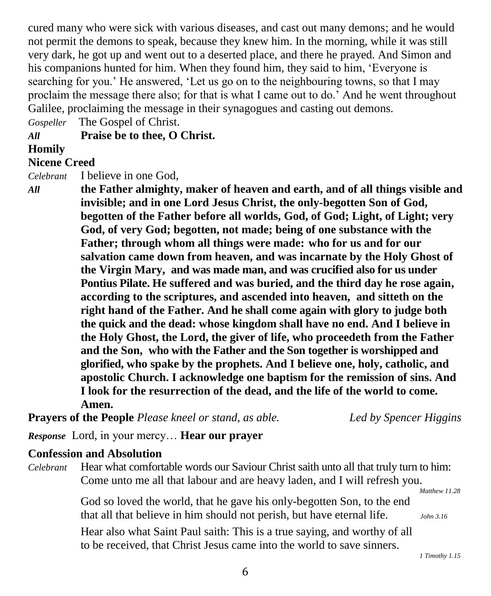cured many who were sick with various diseases, and cast out many demons; and he would not permit the demons to speak, because they knew him. In the morning, while it was still very dark, he got up and went out to a deserted place, and there he prayed. And Simon and his companions hunted for him. When they found him, they said to him, 'Everyone is searching for you.' He answered, 'Let us go on to the neighbouring towns, so that I may proclaim the message there also; for that is what I came out to do.' And he went throughout Galilee, proclaiming the message in their synagogues and casting out demons.

*Gospeller* The Gospel of Christ.

*All* **Praise be to thee, O Christ.**

### **Homily**

### **Nicene Creed**

*Celebrant* I believe in one God,

*All* **the Father almighty, maker of heaven and earth, and of all things visible and invisible; and in one Lord Jesus Christ, the only-begotten Son of God, begotten of the Father before all worlds, God, of God; Light, of Light; very God, of very God; begotten, not made; being of one substance with the Father; through whom all things were made: who for us and for our salvation came down from heaven, and was incarnate by the Holy Ghost of the Virgin Mary, and was made man, and was crucified also for us under Pontius Pilate. He suffered and was buried, and the third day he rose again, according to the scriptures, and ascended into heaven, and sitteth on the right hand of the Father. And he shall come again with glory to judge both the quick and the dead: whose kingdom shall have no end. And I believe in the Holy Ghost, the Lord, the giver of life, who proceedeth from the Father and the Son, who with the Father and the Son together is worshipped and glorified, who spake by the prophets. And I believe one, holy, catholic, and apostolic Church. I acknowledge one baptism for the remission of sins. And I look for the resurrection of the dead, and the life of the world to come. Amen.**

**Prayers of the People** *Please kneel or stand, as able. Led by Spencer Higgins*

*Response* Lord, in your mercy… **Hear our prayer**

### **Confession and Absolution**

*Celebrant* Hear what comfortable words our Saviour Christ saith unto all that truly turn to him: Come unto me all that labour and are heavy laden, and I will refresh you.

 *Matthew 11.28*

God so loved the world, that he gave his only-begotten Son, to the end that all that believe in him should not perish, but have eternal life. *John 3.16*

Hear also what Saint Paul saith: This is a true saying, and worthy of all to be received, that Christ Jesus came into the world to save sinners.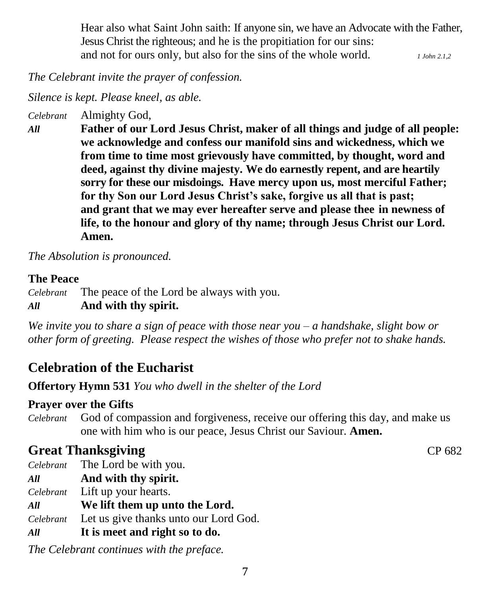Hear also what Saint John saith: If anyone sin, we have an Advocate with the Father, Jesus Christ the righteous; and he is the propitiation for our sins: and not for ours only, but also for the sins of the whole world. *1 John 2.1,2*

*The Celebrant invite the prayer of confession.*

*Silence is kept. Please kneel, as able.*

*Celebrant* Almighty God,

*All* **Father of our Lord Jesus Christ, maker of all things and judge of all people: we acknowledge and confess our manifold sins and wickedness, which we from time to time most grievously have committed, by thought, word and deed, against thy divine majesty. We do earnestly repent, and are heartily sorry for these our misdoings. Have mercy upon us, most merciful Father; for thy Son our Lord Jesus Christ's sake, forgive us all that is past; and grant that we may ever hereafter serve and please thee in newness of life, to the honour and glory of thy name; through Jesus Christ our Lord. Amen.**

*The Absolution is pronounced.*

### **The Peace**

*Celebrant* The peace of the Lord be always with you. *All* **And with thy spirit.**

*We invite you to share a sign of peace with those near you – a handshake, slight bow or other form of greeting. Please respect the wishes of those who prefer not to shake hands.*

# **Celebration of the Eucharist**

**Offertory Hymn 531** *You who dwell in the shelter of the Lord* 

### **Prayer over the Gifts**

*Celebrant* God of compassion and forgiveness, receive our offering this day, and make us one with him who is our peace, Jesus Christ our Saviour. **Amen.**

# **Great Thanksgiving CP 682**

*Celebrant* The Lord be with you.

*All* **And with thy spirit.**

*Celebrant* Lift up your hearts.

- *All* **We lift them up unto the Lord.**
- *Celebrant* Let us give thanks unto our Lord God.
- *All* **It is meet and right so to do.**

*The Celebrant continues with the preface.*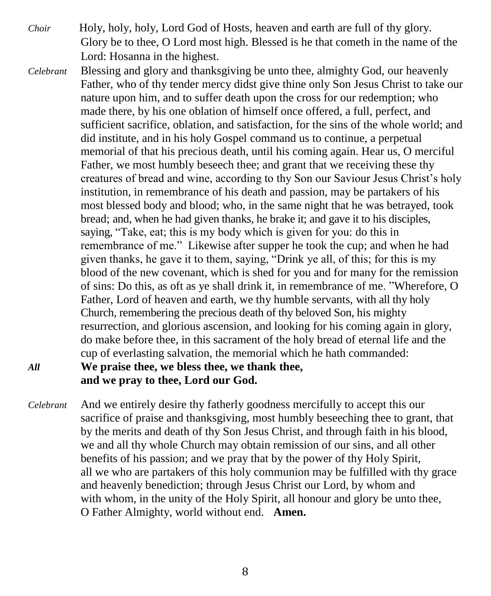- *Choir* Holy, holy, holy, Lord God of Hosts, heaven and earth are full of thy glory. Glory be to thee, O Lord most high. Blessed is he that cometh in the name of the Lord: Hosanna in the highest.
- 
- *Celebrant* Blessing and glory and thanksgiving be unto thee, almighty God, our heavenly Father, who of thy tender mercy didst give thine only Son Jesus Christ to take our nature upon him, and to suffer death upon the cross for our redemption; who made there, by his one oblation of himself once offered, a full, perfect, and sufficient sacrifice, oblation, and satisfaction, for the sins of the whole world; and did institute, and in his holy Gospel command us to continue, a perpetual memorial of that his precious death, until his coming again. Hear us, O merciful Father, we most humbly beseech thee; and grant that we receiving these thy creatures of bread and wine, according to thy Son our Saviour Jesus Christ's holy institution, in remembrance of his death and passion, may be partakers of his most blessed body and blood; who, in the same night that he was betrayed, took bread; and, when he had given thanks, he brake it; and gave it to his disciples, saying, "Take, eat; this is my body which is given for you: do this in remembrance of me." Likewise after supper he took the cup; and when he had given thanks, he gave it to them, saying, "Drink ye all, of this; for this is my blood of the new covenant, which is shed for you and for many for the remission of sins: Do this, as oft as ye shall drink it, in remembrance of me. "Wherefore, O Father, Lord of heaven and earth, we thy humble servants, with all thy holy Church, remembering the precious death of thy beloved Son, his mighty resurrection, and glorious ascension, and looking for his coming again in glory, do make before thee, in this sacrament of the holy bread of eternal life and the cup of everlasting salvation, the memorial which he hath commanded: *All* **We praise thee, we bless thee, we thank thee,**

**and we pray to thee, Lord our God.**

*Celebrant* And we entirely desire thy fatherly goodness mercifully to accept this our sacrifice of praise and thanksgiving, most humbly beseeching thee to grant, that by the merits and death of thy Son Jesus Christ, and through faith in his blood, we and all thy whole Church may obtain remission of our sins, and all other benefits of his passion; and we pray that by the power of thy Holy Spirit, all we who are partakers of this holy communion may be fulfilled with thy grace and heavenly benediction; through Jesus Christ our Lord, by whom and with whom, in the unity of the Holy Spirit, all honour and glory be unto thee, O Father Almighty, world without end. **Amen.**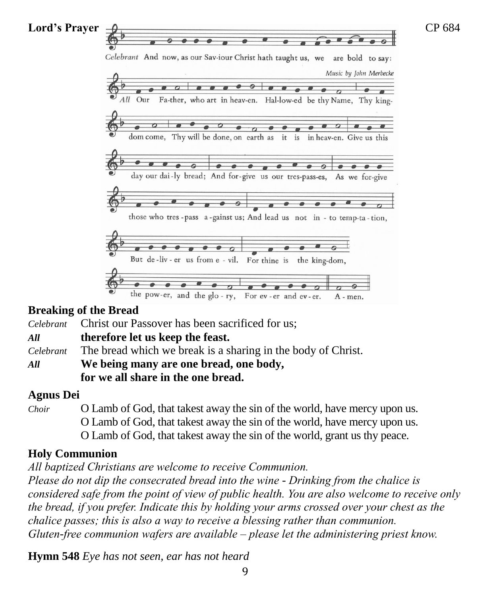

### **Breaking of the Bread**

*Celebrant* Christ our Passover has been sacrificed for us;

*All* **therefore let us keep the feast.**

*Celebrant* The bread which we break is a sharing in the body of Christ.

*All* **We being many are one bread, one body, for we all share in the one bread.**

### **Agnus Dei**

*Choir* O Lamb of God, that takest away the sin of the world, have mercy upon us. O Lamb of God, that takest away the sin of the world, have mercy upon us. O Lamb of God, that takest away the sin of the world, grant us thy peace.

### **Holy Communion**

*All baptized Christians are welcome to receive Communion.*

*Please do not dip the consecrated bread into the wine - Drinking from the chalice is considered safe from the point of view of public health. You are also welcome to receive only the bread, if you prefer. Indicate this by holding your arms crossed over your chest as the chalice passes; this is also a way to receive a blessing rather than communion. Gluten-free communion wafers are available – please let the administering priest know.*

**Hymn 548** *Eye has not seen, ear has not heard*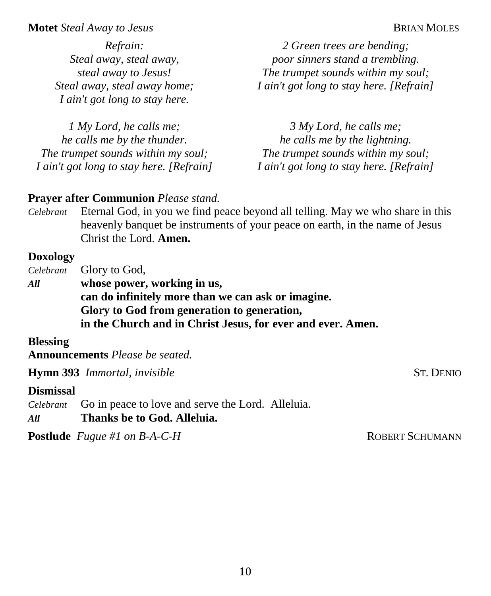#### **Motet** *Steal Away to Jesus* **BRIAN MOLES**

*Refrain: Steal away, steal away, steal away to Jesus! Steal away, steal away home; I ain't got long to stay here.*

*1 My Lord, he calls me; he calls me by the thunder. The trumpet sounds within my soul; I ain't got long to stay here. [Refrain]*

*2 Green trees are bending; poor sinners stand a trembling. The trumpet sounds within my soul; I ain't got long to stay here. [Refrain]*

*3 My Lord, he calls me; he calls me by the lightning. The trumpet sounds within my soul; I ain't got long to stay here. [Refrain]*

### **Prayer after Communion** *Please stand.*

*Celebrant* Eternal God, in you we find peace beyond all telling. May we who share in this heavenly banquet be instruments of your peace on earth, in the name of Jesus Christ the Lord. **Amen.**

#### **Doxology**

*Celebrant* Glory to God,

*All* **whose power, working in us, can do infinitely more than we can ask or imagine. Glory to God from generation to generation, in the Church and in Christ Jesus, for ever and ever. Amen.**

### **Blessing**

**Announcements** *Please be seated.*

**Hymn 393** *Immortal, invisible* ST. DENIO

#### **Dismissal**

- *Celebrant* Go in peace to love and serve the Lord. Alleluia.
- *All* **Thanks be to God. Alleluia.**

**Postlude** *Fugue #1 on B-A-C-H* ROBERT SCHUMANN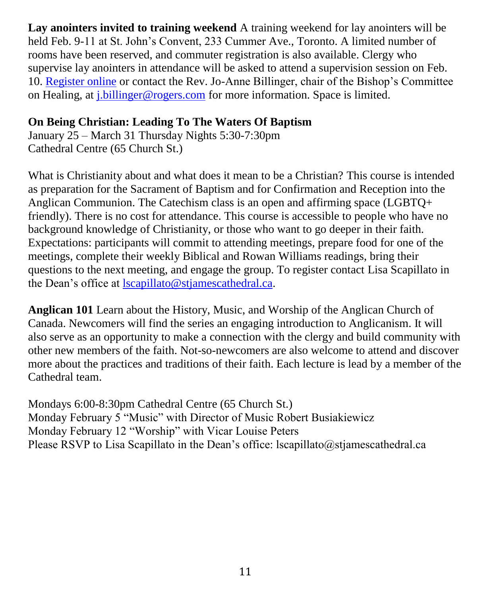**Lay anointers invited to training weekend** A training weekend for lay anointers will be held Feb. 9-11 at St. John's Convent, 233 Cummer Ave., Toronto. A limited number of rooms have been reserved, and commuter registration is also available. Clergy who supervise lay anointers in attendance will be asked to attend a supervision session on Feb. 10. [Register online](https://events.r20.constantcontact.com/register/eventReg?oeidk=a07eeojytsndbbb9b86&oseq=&c=&ch=) or contact the Rev. Jo-Anne Billinger, chair of the Bishop's Committee on Healing, at [j.billinger@rogers.com](mailto:j.billinger@rogers.com) for more information. Space is limited.

### **On Being Christian: Leading To The Waters Of Baptism**

January 25 – March 31 Thursday Nights 5:30-7:30pm Cathedral Centre (65 Church St.)

What is Christianity about and what does it mean to be a Christian? This course is intended as preparation for the Sacrament of Baptism and for Confirmation and Reception into the Anglican Communion. The Catechism class is an open and affirming space (LGBTQ+ friendly). There is no cost for attendance. This course is accessible to people who have no background knowledge of Christianity, or those who want to go deeper in their faith. Expectations: participants will commit to attending meetings, prepare food for one of the meetings, complete their weekly Biblical and Rowan Williams readings, bring their questions to the next meeting, and engage the group. To register contact Lisa Scapillato in the Dean's office at [lscapillato@stjamescathedral.ca.](mailto:lscapilatto@stjamescathedral.ca)

**Anglican 101** Learn about the History, Music, and Worship of the Anglican Church of Canada. Newcomers will find the series an engaging introduction to Anglicanism. It will also serve as an opportunity to make a connection with the clergy and build community with other new members of the faith. Not-so-newcomers are also welcome to attend and discover more about the practices and traditions of their faith. Each lecture is lead by a member of the Cathedral team.

Mondays 6:00-8:30pm Cathedral Centre (65 Church St.) Monday February 5 "Music" with Director of Music Robert Busiakiewicz Monday February 12 "Worship" with Vicar Louise Peters Please RSVP to Lisa Scapillato in the Dean's office: lscapillato@stjamescathedral.ca